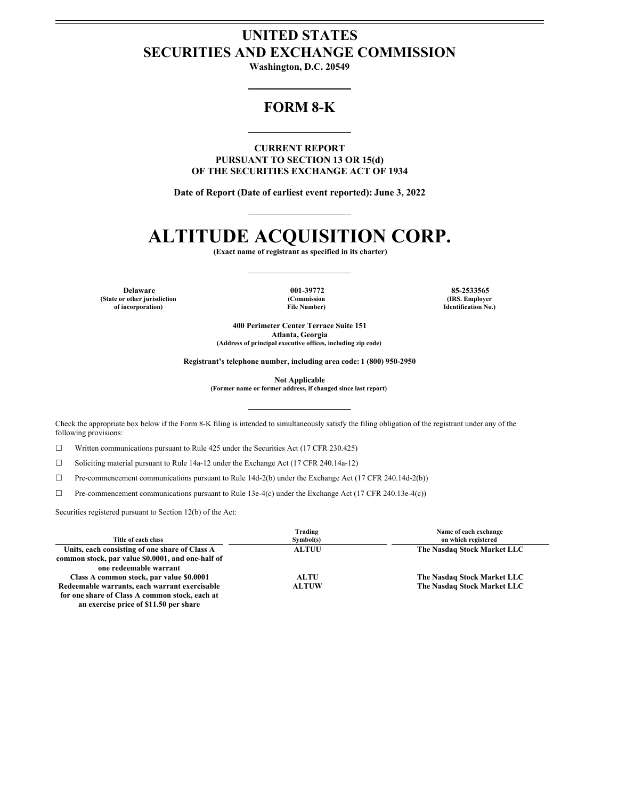# **UNITED STATES SECURITIES AND EXCHANGE COMMISSION**

**Washington, D.C. 20549**

# **FORM 8-K**

**CURRENT REPORT PURSUANT TO SECTION 13 OR 15(d) OF THE SECURITIES EXCHANGE ACT OF 1934**

**Date of Report (Date of earliest event reported): June 3, 2022**

# **ALTITUDE ACQUISITION CORP.**

**(Exact name of registrant as specified in its charter)**

**(State or other jurisdiction of incorporation)**

**(Commission File Number)**

**Delaware 001-39772 85-2533565 (IRS. Employer Identification No.)**

> **400 Perimeter Center Terrace Suite 151 Atlanta, Georgia (Address of principal executive offices, including zip code)**

**Registrant's telephone number, including area code: 1 (800) 950-2950**

**Not Applicable**

**(Former name or former address, if changed since last report)**

Check the appropriate box below if the Form 8-K filing is intended to simultaneously satisfy the filing obligation of the registrant under any of the following provisions:

☐ Written communications pursuant to Rule 425 under the Securities Act (17 CFR 230.425)

 $\Box$  Soliciting material pursuant to Rule 14a-12 under the Exchange Act (17 CFR 240.14a-12)

☐ Pre-commencement communications pursuant to Rule 14d-2(b) under the Exchange Act (17 CFR 240.14d-2(b))

☐ Pre-commencement communications pursuant to Rule 13e-4(c) under the Exchange Act (17 CFR 240.13e-4(c))

Securities registered pursuant to Section 12(b) of the Act:

| Title of each class                                                                                                           | Trading<br>Symbol(s) | Name of each exchange<br>on which registered |
|-------------------------------------------------------------------------------------------------------------------------------|----------------------|----------------------------------------------|
| Units, each consisting of one share of Class A<br>common stock, par value \$0.0001, and one-half of<br>one redeemable warrant | <b>ALTUU</b>         | The Nasdaq Stock Market LLC                  |
| Class A common stock, par value \$0.0001                                                                                      | <b>ALTU</b>          | The Nasdaq Stock Market LLC                  |
| Redeemable warrants, each warrant exercisable                                                                                 | <b>ALTUW</b>         | The Nasdaq Stock Market LLC                  |
| for one share of Class A common stock, each at<br>an exercise price of \$11.50 per share                                      |                      |                                              |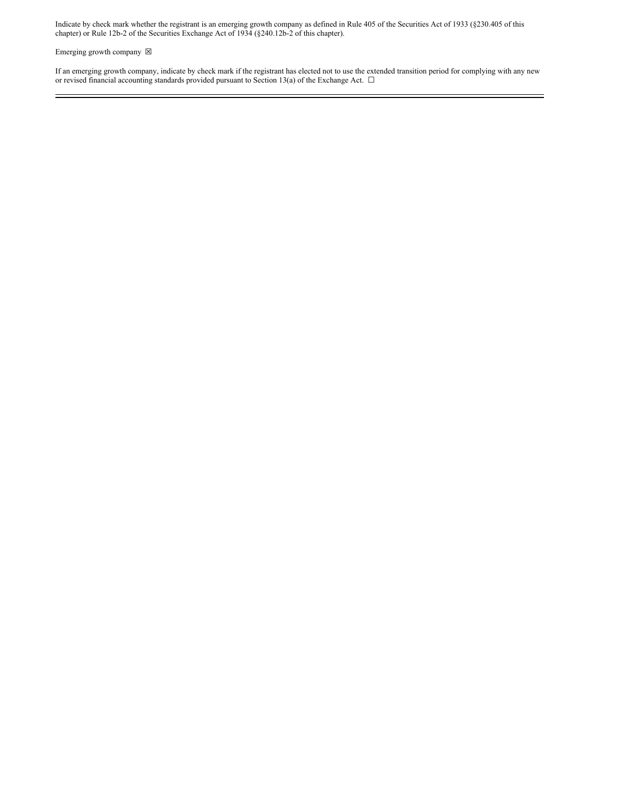Indicate by check mark whether the registrant is an emerging growth company as defined in Rule 405 of the Securities Act of 1933 (§230.405 of this chapter) or Rule 12b-2 of the Securities Exchange Act of 1934 (§240.12b-2 of this chapter).

Emerging growth company  $\boxtimes$ 

If an emerging growth company, indicate by check mark if the registrant has elected not to use the extended transition period for complying with any new or revised financial accounting standards provided pursuant to Section 13(a) of the Exchange Act.  $\Box$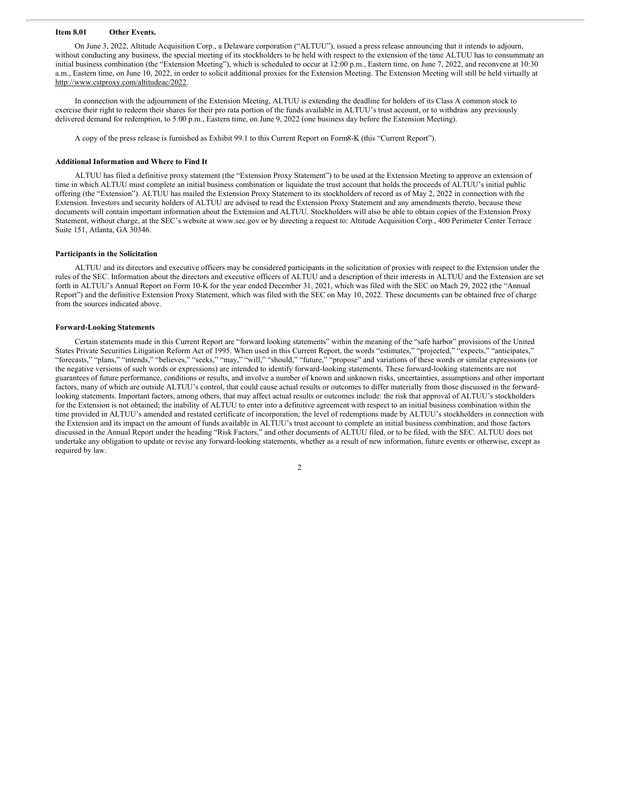## **Item 8.01 Other Events.**

On June 3, 2022, Altitude Acquisition Corp., a Delaware corporation ("ALTUU"), issued a press release announcing that it intends to adjourn, without conducting any business, the special meeting of its stockholders to be held with respect to the extension of the time ALTUU has to consummate an initial business combination (the "Extension Meeting"), which is scheduled to occur at 12:00 p.m., Eastern time, on June 7, 2022, and reconvene at 10:30 a.m., Eastern time, on June 10, 2022, in order to solicit additional proxies for the Extension Meeting. The Extension Meeting will still be held virtually at http://www.cstproxy.com/altitudeac/2022.

In connection with the adjournment of the Extension Meeting, ALTUU is extending the deadline for holders of its Class A common stock to exercise their right to redeem their shares for their pro rata portion of the funds available in ALTUU's trust account, or to withdraw any previously delivered demand for redemption, to 5:00 p.m., Eastern time, on June 9, 2022 (one business day before the Extension Meeting).

A copy of the press release is furnished as Exhibit 99.1 to this Current Report on Form8-K (this "Current Report").

#### **Additional Information and Where to Find It**

ALTUU has filed a definitive proxy statement (the "Extension Proxy Statement") to be used at the Extension Meeting to approve an extension of time in which ALTUU must complete an initial business combination or liquidate the trust account that holds the proceeds of ALTUU's initial public offering (the "Extension"). ALTUU has mailed the Extension Proxy Statement to its stockholders of record as of May 2, 2022 in connection with the Extension. Investors and security holders of ALTUU are advised to read the Extension Proxy Statement and any amendments thereto, because these documents will contain important information about the Extension and ALTUU. Stockholders will also be able to obtain copies of the Extension Proxy Statement, without charge, at the SEC's website at www.sec.gov or by directing a request to: Altitude Acquisition Corp., 400 Perimeter Center Terrace Suite 151, Atlanta, GA 30346.

## **Participants in the Solicitation**

ALTUU and its directors and executive officers may be considered participants in the solicitation of proxies with respect to the Extension under the rules of the SEC. Information about the directors and executive officers of ALTUU and a description of their interests in ALTUU and the Extension are set forth in ALTUU's Annual Report on Form 10-K for the year ended December 31, 2021, which was filed with the SEC on Mach 29, 2022 (the "Annual Report") and the definitive Extension Proxy Statement, which was filed with the SEC on May 10, 2022. These documents can be obtained free of charge from the sources indicated above.

## **Forward-Looking Statements**

Certain statements made in this Current Report are "forward looking statements" within the meaning of the "safe harbor" provisions of the United States Private Securities Litigation Reform Act of 1995. When used in this Current Report, the words "estimates," "projected," "expects," "anticipates," "forecasts," "plans," "intends," "believes," "seeks," "may," "will," "should," "future," "propose" and variations of these words or similar expressions (or the negative versions of such words or expressions) are intended to identify forward-looking statements. These forward-looking statements are not guarantees of future performance, conditions or results, and involve a number of known and unknown risks, uncertainties, assumptions and other important factors, many of which are outside ALTUU's control, that could cause actual results or outcomes to differ materially from those discussed in the forwardlooking statements. Important factors, among others, that may affect actual results or outcomes include: the risk that approval of ALTUU's stockholders for the Extension is not obtained; the inability of ALTUU to enter into a definitive agreement with respect to an initial business combination within the time provided in ALTUU's amended and restated certificate of incorporation; the level of redemptions made by ALTUU's stockholders in connection with the Extension and its impact on the amount of funds available in ALTUU's trust account to complete an initial business combination; and those factors discussed in the Annual Report under the heading "Risk Factors," and other documents of ALTUU filed, or to be filed, with the SEC. ALTUU does not undertake any obligation to update or revise any forward-looking statements, whether as a result of new information, future events or otherwise, except as required by law.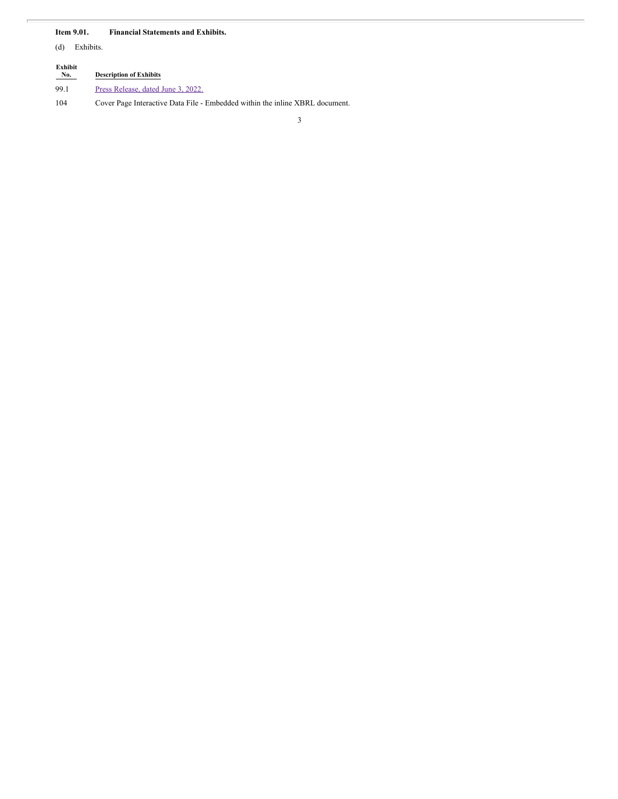# **Item 9.01. Financial Statements and Exhibits.**

(d) Exhibits.

| Exhibit<br>No. | <b>Description of Exhibits</b>                   |
|----------------|--------------------------------------------------|
| 99.1           | Press Release, dated June 3, 2022.               |
| 104            | Cover Page Interactive Data File - Embedded with |

104 Cover Page Interactive Data File - Embedded within the inline XBRL document.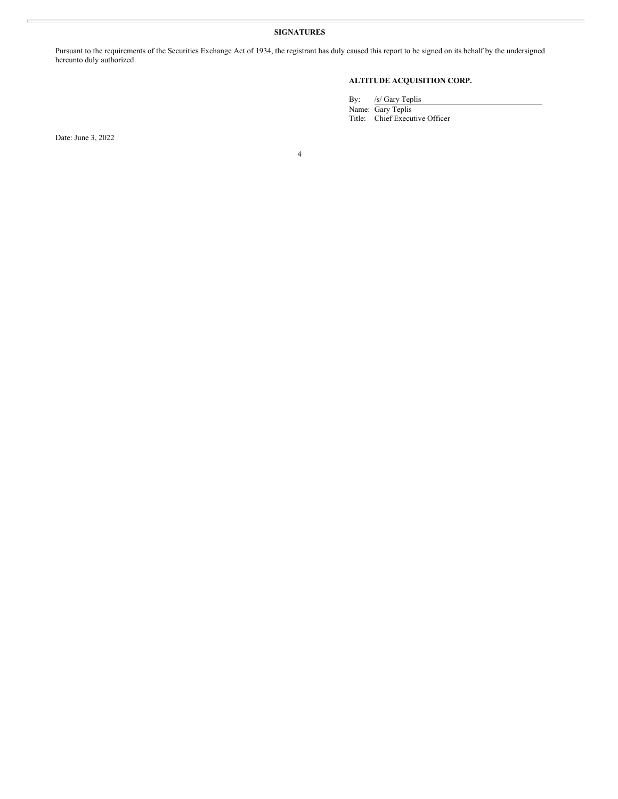# **SIGNATURES**

Pursuant to the requirements of the Securities Exchange Act of 1934, the registrant has duly caused this report to be signed on its behalf by the undersigned hereunto duly authorized.

# **ALTITUDE ACQUISITION CORP.**

By: /s/ Gary Teplis

Name: Gary Teplis Title: Chief Executive Officer

Date: June 3, 2022

4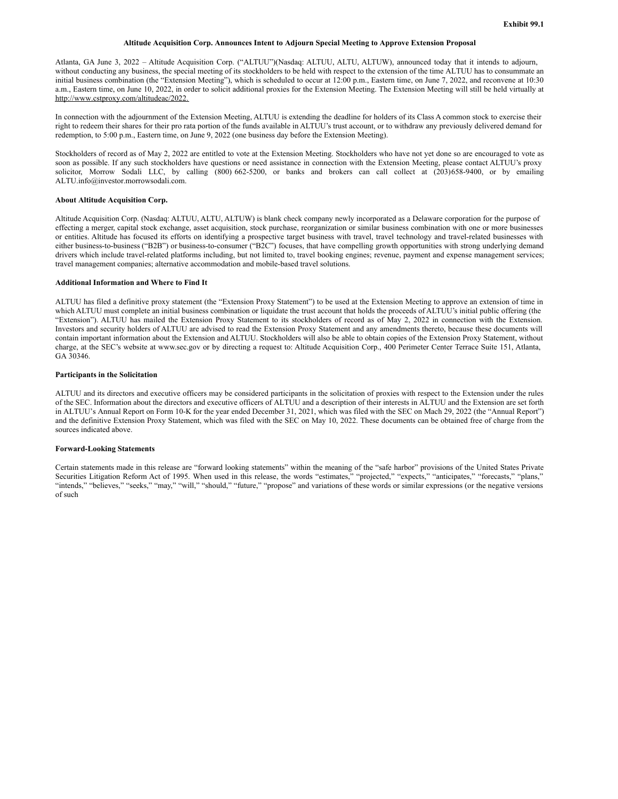# **Altitude Acquisition Corp. Announces Intent to Adjourn Special Meeting to Approve Extension Proposal**

<span id="page-5-0"></span>Atlanta, GA June 3, 2022 – Altitude Acquisition Corp. ("ALTUU")(Nasdaq: ALTUU, ALTU, ALTUW), announced today that it intends to adjourn, without conducting any business, the special meeting of its stockholders to be held with respect to the extension of the time ALTUU has to consummate an initial business combination (the "Extension Meeting"), which is scheduled to occur at 12:00 p.m., Eastern time, on June 7, 2022, and reconvene at 10:30 a.m., Eastern time, on June 10, 2022, in order to solicit additional proxies for the Extension Meeting. The Extension Meeting will still be held virtually at http://www.cstproxy.com/altitudeac/2022.

In connection with the adjournment of the Extension Meeting, ALTUU is extending the deadline for holders of its Class A common stock to exercise their right to redeem their shares for their pro rata portion of the funds available in ALTUU's trust account, or to withdraw any previously delivered demand for redemption, to 5:00 p.m., Eastern time, on June 9, 2022 (one business day before the Extension Meeting).

Stockholders of record as of May 2, 2022 are entitled to vote at the Extension Meeting. Stockholders who have not yet done so are encouraged to vote as soon as possible. If any such stockholders have questions or need assistance in connection with the Extension Meeting, please contact ALTUU's proxy solicitor, Morrow Sodali LLC, by calling (800) 662-5200, or banks and brokers can call collect at (203)658-9400, or by emailing ALTU.info@investor.morrowsodali.com.

# **About Altitude Acquisition Corp.**

Altitude Acquisition Corp. (Nasdaq: ALTUU, ALTU, ALTUW) is blank check company newly incorporated as a Delaware corporation for the purpose of effecting a merger, capital stock exchange, asset acquisition, stock purchase, reorganization or similar business combination with one or more businesses or entities. Altitude has focused its efforts on identifying a prospective target business with travel, travel technology and travel-related businesses with either business-to-business ("B2B") or business-to-consumer ("B2C") focuses, that have compelling growth opportunities with strong underlying demand drivers which include travel-related platforms including, but not limited to, travel booking engines; revenue, payment and expense management services; travel management companies; alternative accommodation and mobile-based travel solutions.

#### **Additional Information and Where to Find It**

ALTUU has filed a definitive proxy statement (the "Extension Proxy Statement") to be used at the Extension Meeting to approve an extension of time in which ALTUU must complete an initial business combination or liquidate the trust account that holds the proceeds of ALTUU's initial public offering (the "Extension"). ALTUU has mailed the Extension Proxy Statement to its stockholders of record as of May 2, 2022 in connection with the Extension. Investors and security holders of ALTUU are advised to read the Extension Proxy Statement and any amendments thereto, because these documents will contain important information about the Extension and ALTUU. Stockholders will also be able to obtain copies of the Extension Proxy Statement, without charge, at the SEC's website at www.sec.gov or by directing a request to: Altitude Acquisition Corp., 400 Perimeter Center Terrace Suite 151, Atlanta, GA 30346.

#### **Participants in the Solicitation**

ALTUU and its directors and executive officers may be considered participants in the solicitation of proxies with respect to the Extension under the rules of the SEC. Information about the directors and executive officers of ALTUU and a description of their interests in ALTUU and the Extension are set forth in ALTUU's Annual Report on Form 10-K for the year ended December 31, 2021, which was filed with the SEC on Mach 29, 2022 (the "Annual Report") and the definitive Extension Proxy Statement, which was filed with the SEC on May 10, 2022. These documents can be obtained free of charge from the sources indicated above.

# **Forward-Looking Statements**

Certain statements made in this release are "forward looking statements" within the meaning of the "safe harbor" provisions of the United States Private Securities Litigation Reform Act of 1995. When used in this release, the words "estimates," "projected," "expects," "anticipates," "forecasts," "plans," "intends," "believes," "seeks," "may," "will," "should," "future," "propose" and variations of these words or similar expressions (or the negative versions of such